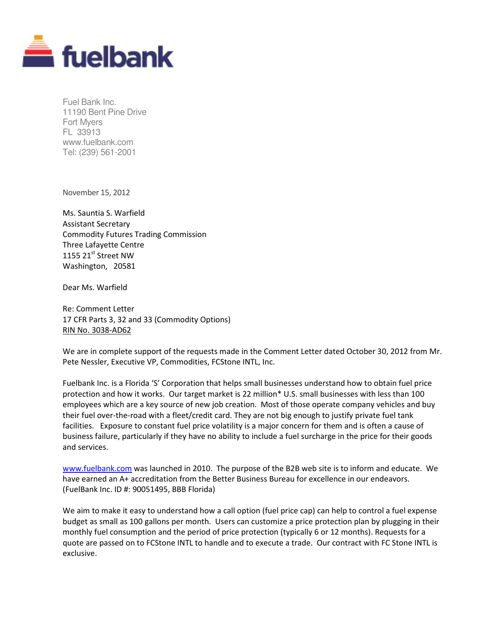

Fuel Bank Inc. 11190 Bent Pine Drive Fort Myers FL 33913 www.fuelbank.com Tel: (239) 561-2001

November 15, 2012

Ms. Sauntia S. Warfield Assistant Secretary Commodity Futures Trading Commission Three Lafayette Centre 1155 21 $\mathrm{^{st}}$  Street NW Washington, 20581

Dear Ms. Warfield

Re: Comment Letter 17 CFR Parts 3, 32 and 33 (Commodity Options) RIN No. 3038-AD62

We are in complete support of the requests made in the Comment Letter dated October 30, 2012 from Mr. Pete Nessler, Executive VP, Commodities, FCStone INTL, Inc.

Fuelbank Inc. is a Florida 'S' Corporation that helps small businesses understand how to obtain fuel price protection and how it works. Our target market is 22 million\* U.S. small businesses with less than 100 employees which are a key source of new job creation. Most of those operate company vehicles and buy their fuel over-the-road with a fleet/credit card. They are not big enough to justify private fuel tank facilities. Exposure to constant fuel price volatility is a major concern for them and is often a cause of business failure, particularly if they have no ability to include a fuel surcharge in the price for their goods and services.

www.fuelbank.com was launched in 2010. The purpose of the B2B web site is to inform and educate. We have earned an A+ accreditation from the Better Business Bureau for excellence in our endeavors. (FuelBank Inc. ID #: 90051495, BBB Florida)

We aim to make it easy to understand how a call option (fuel price cap) can help to control a fuel expense budget as small as 100 gallons per month. Users can customize a price protection plan by plugging in their monthly fuel consumption and the period of price protection (typically 6 or 12 months). Requests for a quote are passed on to FCStone INTL to handle and to execute a trade. Our contract with FC Stone INTL is exclusive.